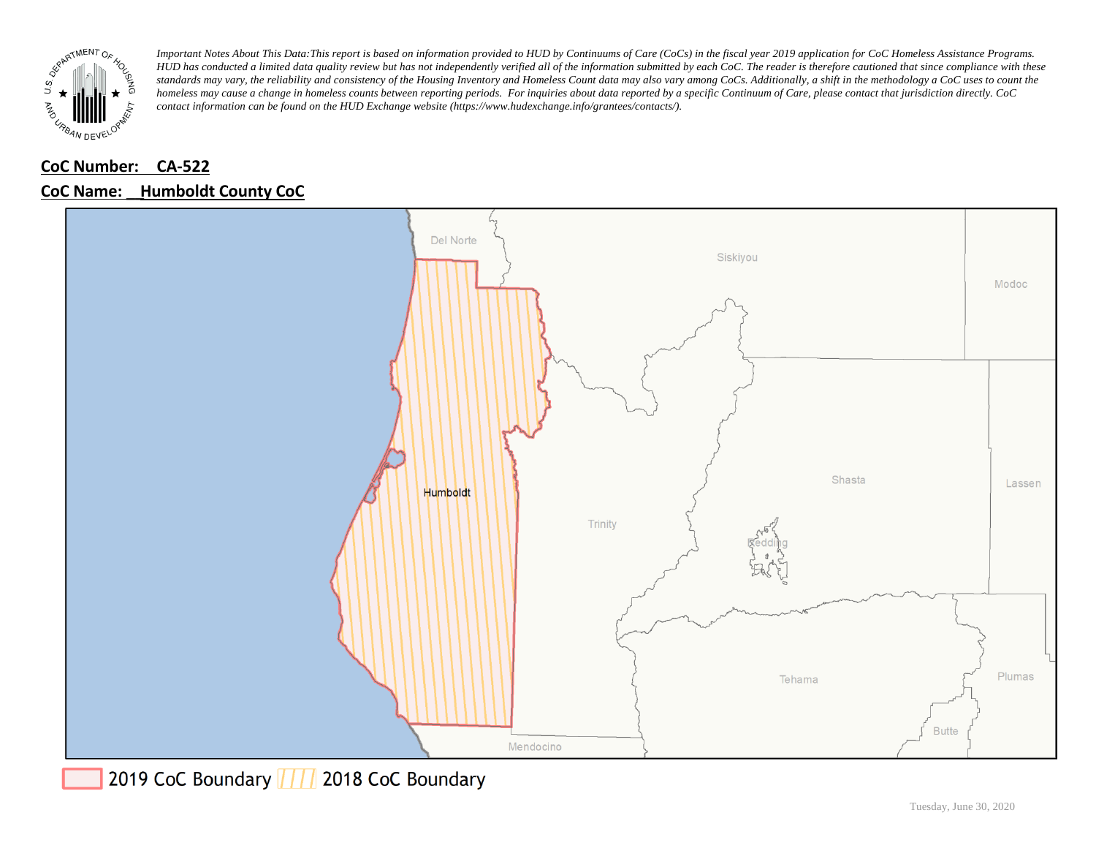

# **CoC Number: CA-522**

# **CoC Name: \_\_ Humboldt County CoC**



2019 CoC Boundary | | | 2018 CoC Boundary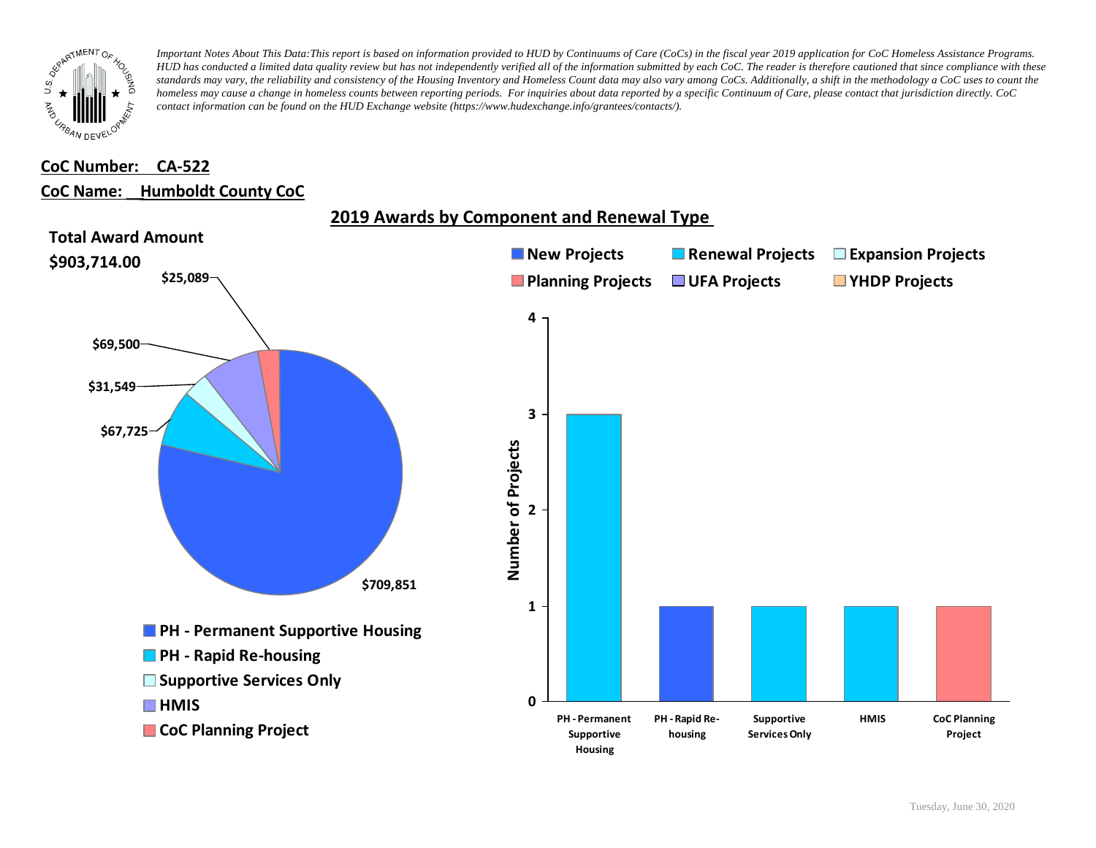

#### **CoC Number: CA-522**

#### **CoC Name: \_\_ Humboldt County CoC**

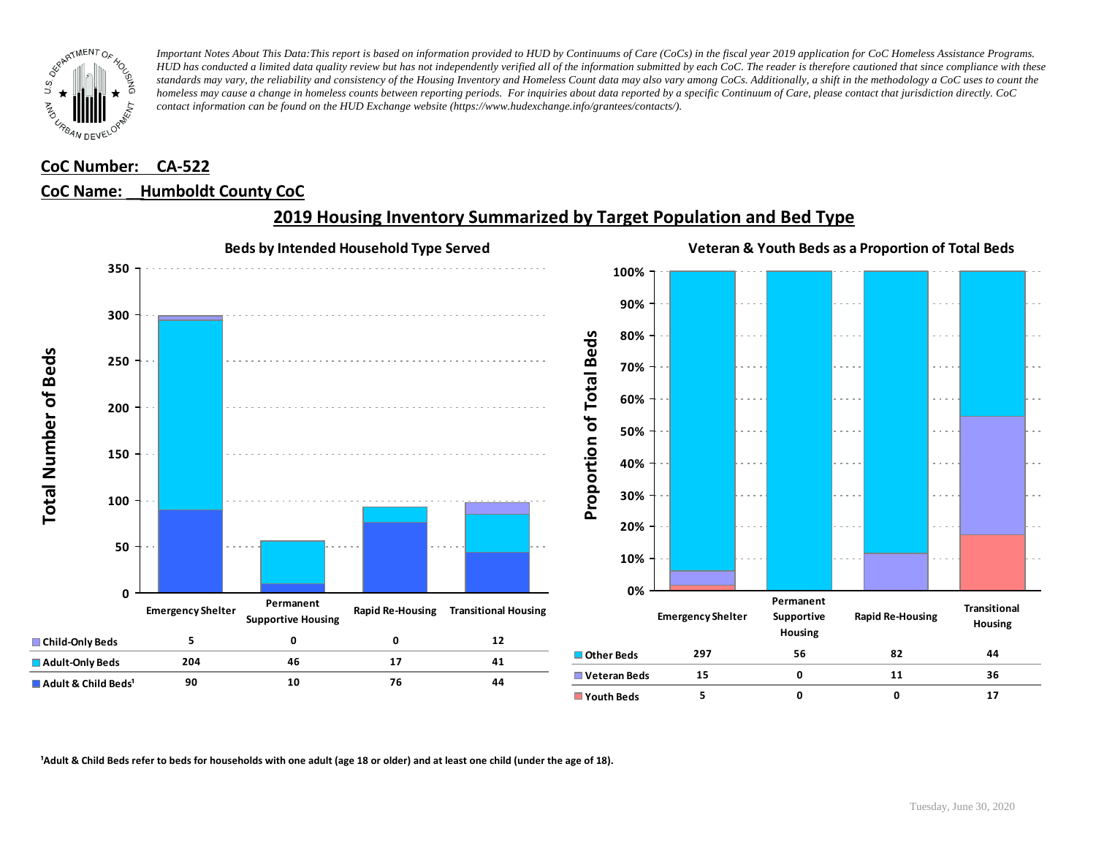

### **CoC Number: CA-522 CoC Name: \_\_ Humboldt County CoC**



### **2019 Housing Inventory Summarized by Target Population and Bed Type**

<sup>1</sup> Adult & Child Beds refer to beds for households with one adult (age 18 or older) and at least one child (under the age of 18).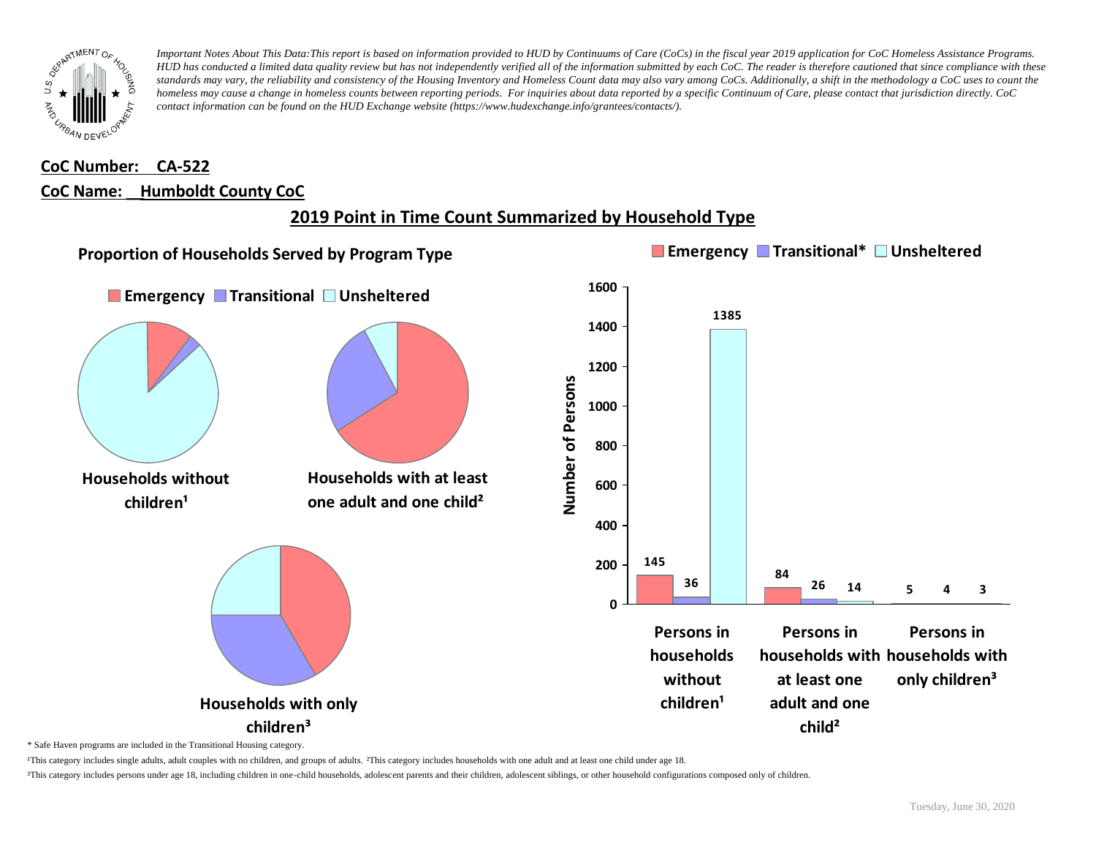

### **CoC Number: CA-522 CoC Name: \_\_ Humboldt County CoC**

# **2019 Point in Time Count Summarized by Household Type**



\* Safe Haven programs are included in the Transitional Housing category.

¹This category includes single adults, adult couples with no children, and groups of adults. ²This category includes households with one adult and at least one child under age 18.

³This category includes persons under age 18, including children in one-child households, adolescent parents and their children, adolescent siblings, or other household configurations composed only of children.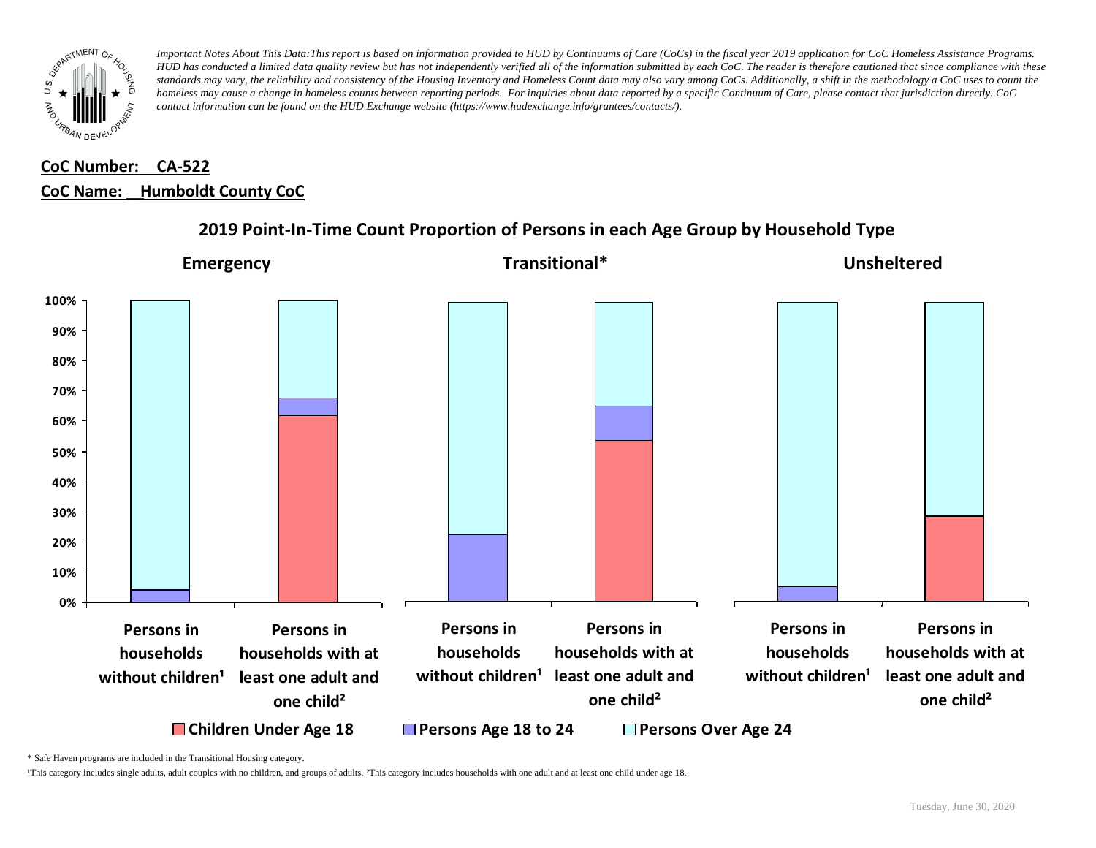

# **CoC Number: CA-522 CoC Name: \_\_ Humboldt County CoC**



#### **2019 Point-In-Time Count Proportion of Persons in each Age Group by Household Type**

\* Safe Haven programs are included in the Transitional Housing category.

¹This category includes single adults, adult couples with no children, and groups of adults. ²This category includes households with one adult and at least one child under age 18.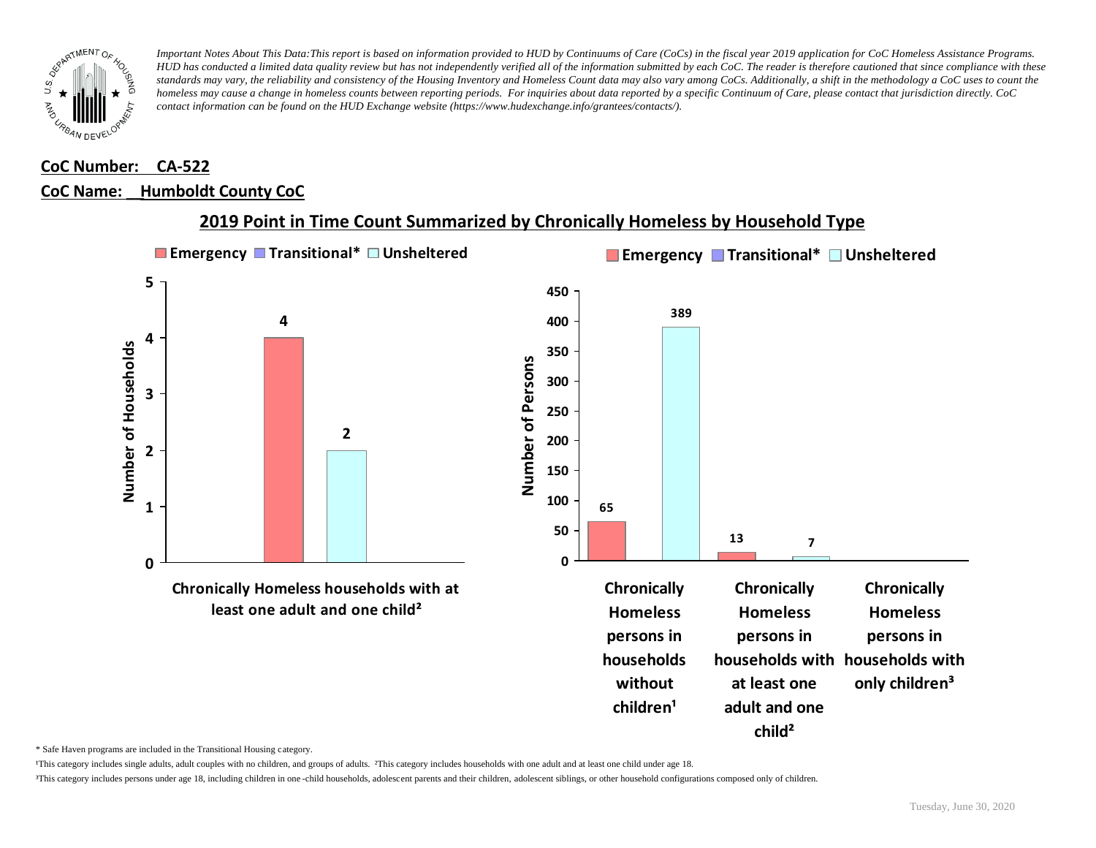

#### **CoC Number: CA-522**

#### **CoC Name: \_\_ Humboldt County CoC**



#### **2019 Point in Time Count Summarized by Chronically Homeless by Household Type**

\* Safe Haven programs are included in the Transitional Housing category.

¹This category includes single adults, adult couples with no children, and groups of adults. ²This category includes households with one adult and at least one child under age 18.

³This category includes persons under age 18, including children in one -child households, adolescent parents and their children, adolescent siblings, or other household configurations composed only of children.